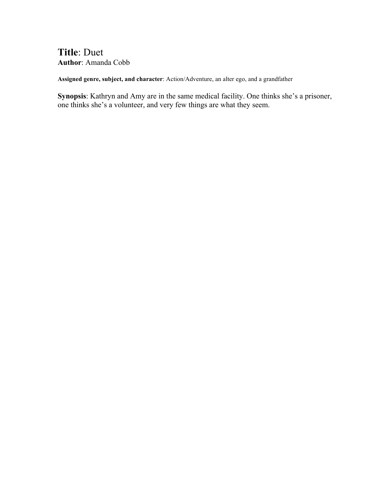## **Title**: Duet **Author**: Amanda Cobb

**Assigned genre, subject, and character**: Action/Adventure, an alter ego, and a grandfather

**Synopsis**: Kathryn and Amy are in the same medical facility. One thinks she's a prisoner, one thinks she's a volunteer, and very few things are what they seem.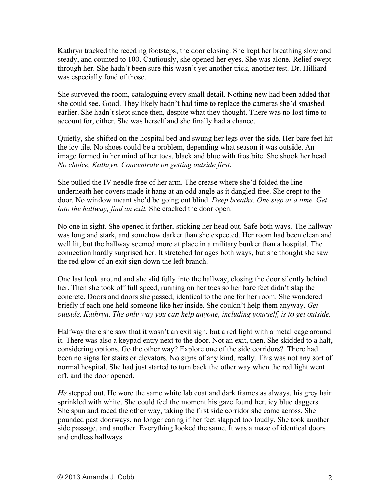Kathryn tracked the receding footsteps, the door closing. She kept her breathing slow and steady, and counted to 100. Cautiously, she opened her eyes. She was alone. Relief swept through her. She hadn't been sure this wasn't yet another trick, another test. Dr. Hilliard was especially fond of those.

She surveyed the room, cataloguing every small detail. Nothing new had been added that she could see. Good. They likely hadn't had time to replace the cameras she'd smashed earlier. She hadn't slept since then, despite what they thought. There was no lost time to account for, either. She was herself and she finally had a chance.

Quietly, she shifted on the hospital bed and swung her legs over the side. Her bare feet hit the icy tile. No shoes could be a problem, depending what season it was outside. An image formed in her mind of her toes, black and blue with frostbite. She shook her head. *No choice, Kathryn. Concentrate on getting outside first.*

She pulled the IV needle free of her arm. The crease where she'd folded the line underneath her covers made it hang at an odd angle as it dangled free. She crept to the door. No window meant she'd be going out blind. *Deep breaths. One step at a time. Get into the hallway, find an exit.* She cracked the door open.

No one in sight. She opened it farther, sticking her head out. Safe both ways. The hallway was long and stark, and somehow darker than she expected. Her room had been clean and well lit, but the hallway seemed more at place in a military bunker than a hospital. The connection hardly surprised her. It stretched for ages both ways, but she thought she saw the red glow of an exit sign down the left branch.

One last look around and she slid fully into the hallway, closing the door silently behind her. Then she took off full speed, running on her toes so her bare feet didn't slap the concrete. Doors and doors she passed, identical to the one for her room. She wondered briefly if each one held someone like her inside. She couldn't help them anyway. *Get outside, Kathryn. The only way you can help anyone, including yourself, is to get outside.*

Halfway there she saw that it wasn't an exit sign, but a red light with a metal cage around it. There was also a keypad entry next to the door. Not an exit, then. She skidded to a halt, considering options. Go the other way? Explore one of the side corridors? There had been no signs for stairs or elevators. No signs of any kind, really. This was not any sort of normal hospital. She had just started to turn back the other way when the red light went off, and the door opened.

*He* stepped out. He wore the same white lab coat and dark frames as always, his grey hair sprinkled with white. She could feel the moment his gaze found her, icy blue daggers. She spun and raced the other way, taking the first side corridor she came across. She pounded past doorways, no longer caring if her feet slapped too loudly. She took another side passage, and another. Everything looked the same. It was a maze of identical doors and endless hallways.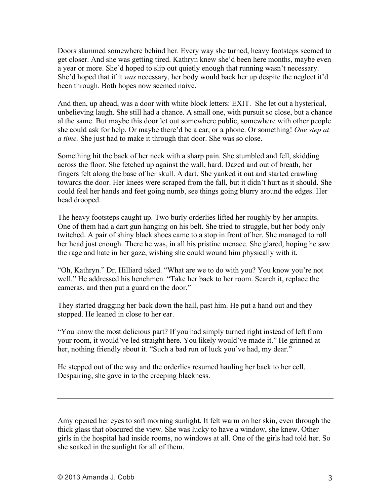Doors slammed somewhere behind her. Every way she turned, heavy footsteps seemed to get closer. And she was getting tired. Kathryn knew she'd been here months, maybe even a year or more. She'd hoped to slip out quietly enough that running wasn't necessary. She'd hoped that if it *was* necessary, her body would back her up despite the neglect it'd been through. Both hopes now seemed naive.

And then, up ahead, was a door with white block letters: EXIT. She let out a hysterical, unbelieving laugh. She still had a chance. A small one, with pursuit so close, but a chance al the same. But maybe this door let out somewhere public, somewhere with other people she could ask for help. Or maybe there'd be a car, or a phone. Or something! *One step at a time.* She just had to make it through that door. She was so close.

Something hit the back of her neck with a sharp pain. She stumbled and fell, skidding across the floor. She fetched up against the wall, hard. Dazed and out of breath, her fingers felt along the base of her skull. A dart. She yanked it out and started crawling towards the door. Her knees were scraped from the fall, but it didn't hurt as it should. She could feel her hands and feet going numb, see things going blurry around the edges. Her head drooped.

The heavy footsteps caught up. Two burly orderlies lifted her roughly by her armpits. One of them had a dart gun hanging on his belt. She tried to struggle, but her body only twitched. A pair of shiny black shoes came to a stop in front of her. She managed to roll her head just enough. There he was, in all his pristine menace. She glared, hoping he saw the rage and hate in her gaze, wishing she could wound him physically with it.

"Oh, Kathryn." Dr. Hilliard tsked. "What are we to do with you? You know you're not well." He addressed his henchmen. "Take her back to her room. Search it, replace the cameras, and then put a guard on the door."

They started dragging her back down the hall, past him. He put a hand out and they stopped. He leaned in close to her ear.

"You know the most delicious part? If you had simply turned right instead of left from your room, it would've led straight here. You likely would've made it." He grinned at her, nothing friendly about it. "Such a bad run of luck you've had, my dear."

He stepped out of the way and the orderlies resumed hauling her back to her cell. Despairing, she gave in to the creeping blackness.

Amy opened her eyes to soft morning sunlight. It felt warm on her skin, even through the thick glass that obscured the view. She was lucky to have a window, she knew. Other girls in the hospital had inside rooms, no windows at all. One of the girls had told her. So she soaked in the sunlight for all of them.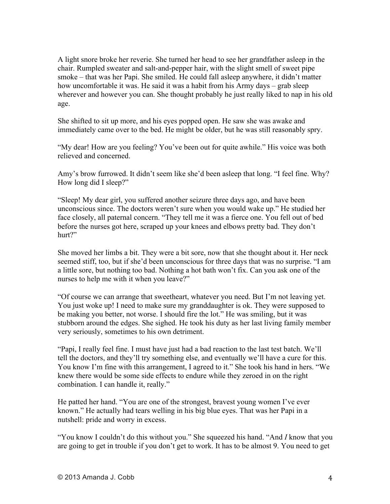A light snore broke her reverie. She turned her head to see her grandfather asleep in the chair. Rumpled sweater and salt-and-pepper hair, with the slight smell of sweet pipe smoke – that was her Papi. She smiled. He could fall asleep anywhere, it didn't matter how uncomfortable it was. He said it was a habit from his Army days – grab sleep wherever and however you can. She thought probably he just really liked to nap in his old age.

She shifted to sit up more, and his eyes popped open. He saw she was awake and immediately came over to the bed. He might be older, but he was still reasonably spry.

"My dear! How are you feeling? You've been out for quite awhile." His voice was both relieved and concerned.

Amy's brow furrowed. It didn't seem like she'd been asleep that long. "I feel fine. Why? How long did I sleep?"

"Sleep! My dear girl, you suffered another seizure three days ago, and have been unconscious since. The doctors weren't sure when you would wake up." He studied her face closely, all paternal concern. "They tell me it was a fierce one. You fell out of bed before the nurses got here, scraped up your knees and elbows pretty bad. They don't hurt?"

She moved her limbs a bit. They were a bit sore, now that she thought about it. Her neck seemed stiff, too, but if she'd been unconscious for three days that was no surprise. "I am a little sore, but nothing too bad. Nothing a hot bath won't fix. Can you ask one of the nurses to help me with it when you leave?"

"Of course we can arrange that sweetheart, whatever you need. But I'm not leaving yet. You just woke up! I need to make sure my granddaughter is ok. They were supposed to be making you better, not worse. I should fire the lot." He was smiling, but it was stubborn around the edges. She sighed. He took his duty as her last living family member very seriously, sometimes to his own detriment.

"Papi, I really feel fine. I must have just had a bad reaction to the last test batch. We'll tell the doctors, and they'll try something else, and eventually we'll have a cure for this. You know I'm fine with this arrangement, I agreed to it." She took his hand in hers. "We knew there would be some side effects to endure while they zeroed in on the right combination. I can handle it, really."

He patted her hand. "You are one of the strongest, bravest young women I've ever known." He actually had tears welling in his big blue eyes. That was her Papi in a nutshell: pride and worry in excess.

"You know I couldn't do this without you." She squeezed his hand. "And *I* know that you are going to get in trouble if you don't get to work. It has to be almost 9. You need to get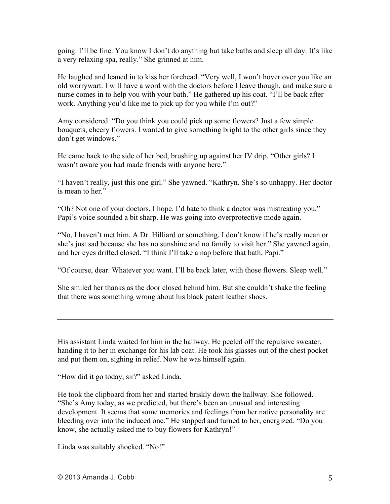going. I'll be fine. You know I don't do anything but take baths and sleep all day. It's like a very relaxing spa, really." She grinned at him.

He laughed and leaned in to kiss her forehead. "Very well, I won't hover over you like an old worrywart. I will have a word with the doctors before I leave though, and make sure a nurse comes in to help you with your bath." He gathered up his coat. "I'll be back after work. Anything you'd like me to pick up for you while I'm out?"

Amy considered. "Do you think you could pick up some flowers? Just a few simple bouquets, cheery flowers. I wanted to give something bright to the other girls since they don't get windows."

He came back to the side of her bed, brushing up against her IV drip. "Other girls? I wasn't aware you had made friends with anyone here."

"I haven't really, just this one girl." She yawned. "Kathryn. She's so unhappy. Her doctor is mean to her."

"Oh? Not one of your doctors, I hope. I'd hate to think a doctor was mistreating you." Papi's voice sounded a bit sharp. He was going into overprotective mode again.

"No, I haven't met him. A Dr. Hilliard or something. I don't know if he's really mean or she's just sad because she has no sunshine and no family to visit her." She yawned again, and her eyes drifted closed. "I think I'll take a nap before that bath, Papi."

"Of course, dear. Whatever you want. I'll be back later, with those flowers. Sleep well."

She smiled her thanks as the door closed behind him. But she couldn't shake the feeling that there was something wrong about his black patent leather shoes.

His assistant Linda waited for him in the hallway. He peeled off the repulsive sweater, handing it to her in exchange for his lab coat. He took his glasses out of the chest pocket and put them on, sighing in relief. Now he was himself again.

"How did it go today, sir?" asked Linda.

He took the clipboard from her and started briskly down the hallway. She followed. "She's Amy today, as we predicted, but there's been an unusual and interesting development. It seems that some memories and feelings from her native personality are bleeding over into the induced one." He stopped and turned to her, energized. "Do you know, she actually asked me to buy flowers for Kathryn!"

Linda was suitably shocked. "No!"